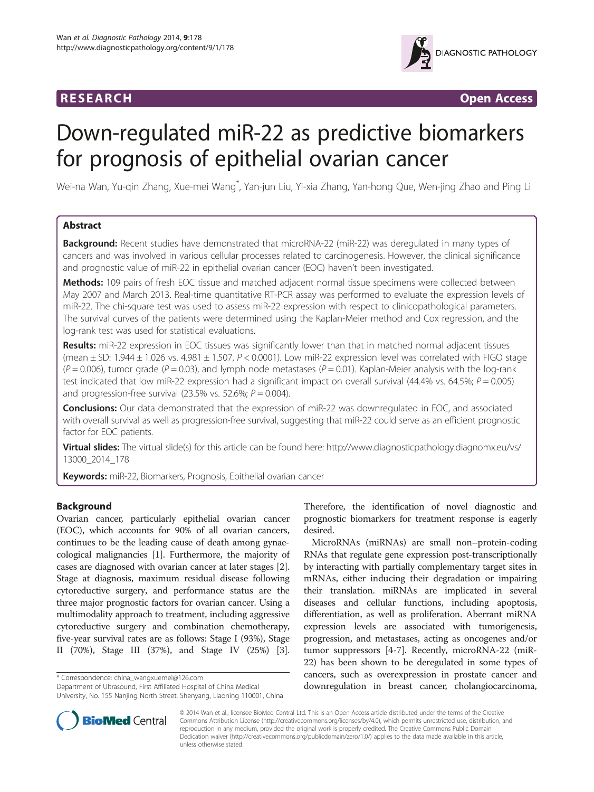

**RESEARCH RESEARCH CONSUMING ACCESS** 

# Down-regulated miR-22 as predictive biomarkers for prognosis of epithelial ovarian cancer

Wei-na Wan, Yu-qin Zhang, Xue-mei Wang<sup>\*</sup>, Yan-jun Liu, Yi-xia Zhang, Yan-hong Que, Wen-jing Zhao and Ping Li

# Abstract

**Background:** Recent studies have demonstrated that microRNA-22 (miR-22) was deregulated in many types of cancers and was involved in various cellular processes related to carcinogenesis. However, the clinical significance and prognostic value of miR-22 in epithelial ovarian cancer (EOC) haven't been investigated.

Methods: 109 pairs of fresh EOC tissue and matched adjacent normal tissue specimens were collected between May 2007 and March 2013. Real-time quantitative RT-PCR assay was performed to evaluate the expression levels of miR-22. The chi-square test was used to assess miR-22 expression with respect to clinicopathological parameters. The survival curves of the patients were determined using the Kaplan-Meier method and Cox regression, and the log-rank test was used for statistical evaluations.

Results: miR-22 expression in EOC tissues was significantly lower than that in matched normal adjacent tissues (mean  $\pm$  SD: 1.944  $\pm$  1.026 vs. 4.981  $\pm$  1.507, P < 0.0001). Low miR-22 expression level was correlated with FIGO stage  $(P = 0.006)$ , tumor grade  $(P = 0.03)$ , and lymph node metastases  $(P = 0.01)$ . Kaplan-Meier analysis with the log-rank test indicated that low miR-22 expression had a significant impact on overall survival (44.4% vs. 64.5%;  $P = 0.005$ ) and progression-free survival (23.5% vs. 52.6%;  $P = 0.004$ ).

Conclusions: Our data demonstrated that the expression of miR-22 was downregulated in EOC, and associated with overall survival as well as progression-free survival, suggesting that miR-22 could serve as an efficient prognostic factor for EOC patients.

Virtual slides: The virtual slide(s) for this article can be found here: [http://www.diagnosticpathology.diagnomx.eu/vs/](http://www.diagnosticpathology.diagnomx.eu/vs/13000_2014_178) [13000\\_2014\\_178](http://www.diagnosticpathology.diagnomx.eu/vs/13000_2014_178)

Keywords: miR-22, Biomarkers, Prognosis, Epithelial ovarian cancer

# Background

Ovarian cancer, particularly epithelial ovarian cancer (EOC), which accounts for 90% of all ovarian cancers, continues to be the leading cause of death among gynaecological malignancies [[1](#page-5-0)]. Furthermore, the majority of cases are diagnosed with ovarian cancer at later stages [[2](#page-5-0)]. Stage at diagnosis, maximum residual disease following cytoreductive surgery, and performance status are the three major prognostic factors for ovarian cancer. Using a multimodality approach to treatment, including aggressive cytoreductive surgery and combination chemotherapy, five-year survival rates are as follows: Stage I (93%), Stage II (70%), Stage III (37%), and Stage IV (25%) [[3](#page-5-0)].

\* Correspondence: [china\\_wangxuemei@126.com](mailto:china_wangxuemei@126.com)

Department of Ultrasound, First Affiliated Hospital of China Medical University, No. 155 Nanjing North Street, Shenyang, Liaoning 110001, China

Therefore, the identification of novel diagnostic and prognostic biomarkers for treatment response is eagerly desired.

MicroRNAs (miRNAs) are small non–protein-coding RNAs that regulate gene expression post-transcriptionally by interacting with partially complementary target sites in mRNAs, either inducing their degradation or impairing their translation. miRNAs are implicated in several diseases and cellular functions, including apoptosis, differentiation, as well as proliferation. Aberrant miRNA expression levels are associated with tumorigenesis, progression, and metastases, acting as oncogenes and/or tumor suppressors [\[4](#page-5-0)-[7\]](#page-5-0). Recently, microRNA-22 (miR-22) has been shown to be deregulated in some types of cancers, such as overexpression in prostate cancer and downregulation in breast cancer, cholangiocarcinoma,



© 2014 Wan et al.; licensee BioMed Central Ltd. This is an Open Access article distributed under the terms of the Creative Commons Attribution License [\(http://creativecommons.org/licenses/by/4.0\)](http://creativecommons.org/licenses/by/4.0), which permits unrestricted use, distribution, and reproduction in any medium, provided the original work is properly credited. The Creative Commons Public Domain Dedication waiver [\(http://creativecommons.org/publicdomain/zero/1.0/](http://creativecommons.org/publicdomain/zero/1.0/)) applies to the data made available in this article, unless otherwise stated.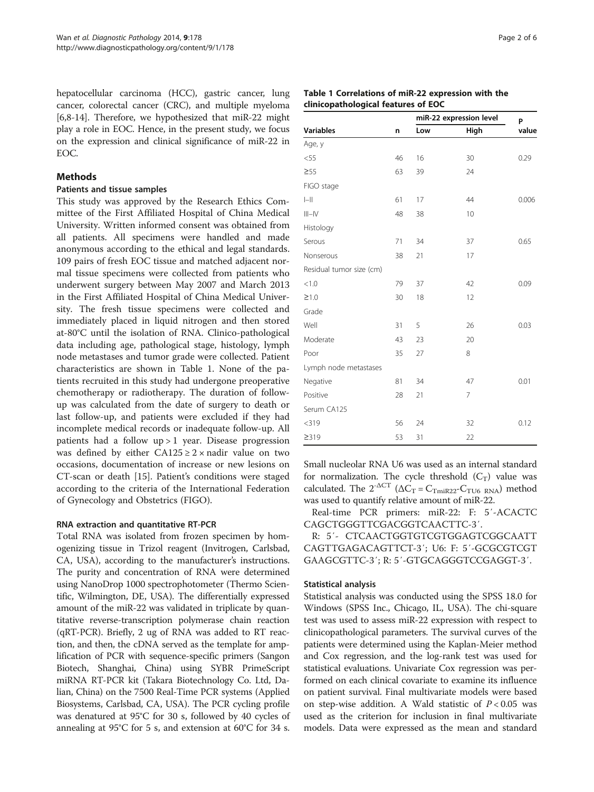<span id="page-1-0"></span>hepatocellular carcinoma (HCC), gastric cancer, lung cancer, colorectal cancer (CRC), and multiple myeloma [[6,8-14\]](#page-5-0). Therefore, we hypothesized that miR-22 might play a role in EOC. Hence, in the present study, we focus on the expression and clinical significance of miR-22 in EOC.

# Methods

#### Patients and tissue samples

This study was approved by the Research Ethics Committee of the First Affiliated Hospital of China Medical University. Written informed consent was obtained from all patients. All specimens were handled and made anonymous according to the ethical and legal standards. 109 pairs of fresh EOC tissue and matched adjacent normal tissue specimens were collected from patients who underwent surgery between May 2007 and March 2013 in the First Affiliated Hospital of China Medical University. The fresh tissue specimens were collected and immediately placed in liquid nitrogen and then stored at-80°C until the isolation of RNA. Clinico-pathological data including age, pathological stage, histology, lymph node metastases and tumor grade were collected. Patient characteristics are shown in Table 1. None of the patients recruited in this study had undergone preoperative chemotherapy or radiotherapy. The duration of followup was calculated from the date of surgery to death or last follow-up, and patients were excluded if they had incomplete medical records or inadequate follow-up. All patients had a follow up > 1 year. Disease progression was defined by either  $CA125 \geq 2 \times$  nadir value on two occasions, documentation of increase or new lesions on CT-scan or death [[15\]](#page-5-0). Patient's conditions were staged according to the criteria of the International Federation of Gynecology and Obstetrics (FIGO).

#### RNA extraction and quantitative RT-PCR

Total RNA was isolated from frozen specimen by homogenizing tissue in Trizol reagent (Invitrogen, Carlsbad, CA, USA), according to the manufacturer's instructions. The purity and concentration of RNA were determined using NanoDrop 1000 spectrophotometer (Thermo Scientific, Wilmington, DE, USA). The differentially expressed amount of the miR-22 was validated in triplicate by quantitative reverse-transcription polymerase chain reaction (qRT-PCR). Briefly, 2 ug of RNA was added to RT reaction, and then, the cDNA served as the template for amplification of PCR with sequence-specific primers (Sangon Biotech, Shanghai, China) using SYBR PrimeScript miRNA RT-PCR kit (Takara Biotechnology Co. Ltd, Dalian, China) on the 7500 Real-Time PCR systems (Applied Biosystems, Carlsbad, CA, USA). The PCR cycling profile was denatured at 95°C for 30 s, followed by 40 cycles of annealing at 95°C for 5 s, and extension at 60°C for 34 s.

|                          | n  | miR-22 expression level | P    |       |
|--------------------------|----|-------------------------|------|-------|
| <b>Variables</b>         |    | Low                     | High | value |
| Age, y                   |    |                         |      |       |
| $<$ 55                   | 46 | 16                      | 30   | 0.29  |
| $\geq 55$                | 63 | 39                      | 24   |       |
| FIGO stage               |    |                         |      |       |
| $\left\  - \right\ $     | 61 | 17                      | 44   | 0.006 |
| $III - IV$               | 48 | 38                      | 10   |       |
| Histology                |    |                         |      |       |
| Serous                   | 71 | 34                      | 37   | 0.65  |
| Nonserous                | 38 | 21                      | 17   |       |
| Residual tumor size (cm) |    |                         |      |       |
| < 1.0                    | 79 | 37                      | 42   | 0.09  |
| $\geq$ 1.0               | 30 | 18                      | 12   |       |
| Grade                    |    |                         |      |       |
| Well                     | 31 | 5                       | 26   | 0.03  |
| Moderate                 | 43 | 23                      | 20   |       |
| Poor                     | 35 | 27                      | 8    |       |
| Lymph node metastases    |    |                         |      |       |
| Negative                 | 81 | 34                      | 47   | 0.01  |
| Positive                 | 28 | 21                      | 7    |       |
| Serum CA125              |    |                         |      |       |
| $<$ 319                  | 56 | 24                      | 32   | 0.12  |
| 2319                     | 53 | 31                      | 22   |       |

Small nucleolar RNA U6 was used as an internal standard for normalization. The cycle threshold  $(C_T)$  value was calculated. The  $2^{-\Delta CT}$   $(\Delta C_{\rm T}=C_{\rm TmiR22}$  -  $C_{\rm TU6~RNA})$  method was used to quantify relative amount of miR-22.

Real-time PCR primers: miR-22: F: 5′-ACACTC CAGCTGGGTTCGACGGTCAACTTC-3′.

R: 5′- CTCAACTGGTGTCGTGGAGTCGGCAATT CAGTTGAGACAGTTCT-3′; U6: F: 5′-GCGCGTCGT GAAGCGTTC-3′; R: 5′-GTGCAGGGTCCGAGGT-3′.

#### Statistical analysis

Statistical analysis was conducted using the SPSS 18.0 for Windows (SPSS Inc., Chicago, IL, USA). The chi-square test was used to assess miR-22 expression with respect to clinicopathological parameters. The survival curves of the patients were determined using the Kaplan-Meier method and Cox regression, and the log-rank test was used for statistical evaluations. Univariate Cox regression was performed on each clinical covariate to examine its influence on patient survival. Final multivariate models were based on step-wise addition. A Wald statistic of  $P < 0.05$  was used as the criterion for inclusion in final multivariate models. Data were expressed as the mean and standard

# Table 1 Correlations of miR-22 expression with the clinicopathological features of EOC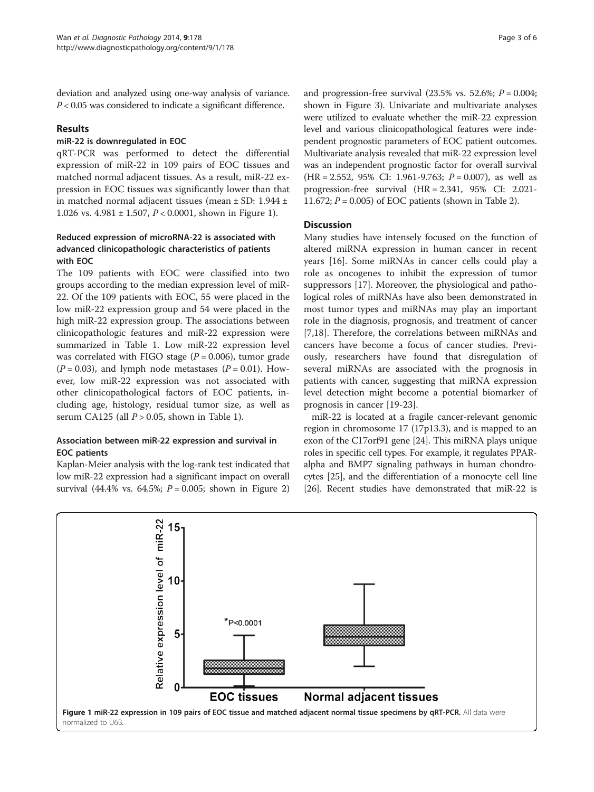deviation and analyzed using one-way analysis of variance.  $P < 0.05$  was considered to indicate a significant difference.

# Results

#### miR-22 is downregulated in EOC

qRT-PCR was performed to detect the differential expression of miR-22 in 109 pairs of EOC tissues and matched normal adjacent tissues. As a result, miR-22 expression in EOC tissues was significantly lower than that in matched normal adjacent tissues (mean ± SD: 1.944 ± 1.026 vs.  $4.981 \pm 1.507$ ,  $P < 0.0001$ , shown in Figure 1).

# Reduced expression of microRNA-22 is associated with advanced clinicopathologic characteristics of patients with EOC

The 109 patients with EOC were classified into two groups according to the median expression level of miR-22. Of the 109 patients with EOC, 55 were placed in the low miR-22 expression group and 54 were placed in the high miR-22 expression group. The associations between clinicopathologic features and miR-22 expression were summarized in Table [1.](#page-1-0) Low miR-22 expression level was correlated with FIGO stage  $(P = 0.006)$ , tumor grade  $(P = 0.03)$ , and lymph node metastases  $(P = 0.01)$ . However, low miR-22 expression was not associated with other clinicopathological factors of EOC patients, including age, histology, residual tumor size, as well as serum CA125 (all  $P > 0.05$ , shown in Table [1](#page-1-0)).

# Association between miR-22 expression and survival in EOC patients

Kaplan-Meier analysis with the log-rank test indicated that low miR-22 expression had a significant impact on overall survival (44.4% vs. 64.5%;  $P = 0.005$ ; shown in Figure [2](#page-3-0)) and progression-free survival  $(23.5\% \text{ vs. } 52.6\%; P = 0.004;$ shown in Figure [3\)](#page-4-0). Univariate and multivariate analyses were utilized to evaluate whether the miR-22 expression level and various clinicopathological features were independent prognostic parameters of EOC patient outcomes. Multivariate analysis revealed that miR-22 expression level was an independent prognostic factor for overall survival  $(HR = 2.552, 95\% \text{ CI: } 1.961 - 9.763; P = 0.007)$ , as well as progression-free survival (HR = 2.341, 95% CI: 2.021- 11.672;  $P = 0.005$ ) of EOC patients (shown in Table [2\)](#page-4-0).

# **Discussion**

Many studies have intensely focused on the function of altered miRNA expression in human cancer in recent years [\[16\]](#page-5-0). Some miRNAs in cancer cells could play a role as oncogenes to inhibit the expression of tumor suppressors [[17\]](#page-5-0). Moreover, the physiological and pathological roles of miRNAs have also been demonstrated in most tumor types and miRNAs may play an important role in the diagnosis, prognosis, and treatment of cancer [[7,18\]](#page-5-0). Therefore, the correlations between miRNAs and cancers have become a focus of cancer studies. Previously, researchers have found that disregulation of several miRNAs are associated with the prognosis in patients with cancer, suggesting that miRNA expression level detection might become a potential biomarker of prognosis in cancer [[19-23\]](#page-5-0).

miR-22 is located at a fragile cancer-relevant genomic region in chromosome 17 (17p13.3), and is mapped to an exon of the C17orf91 gene [[24\]](#page-5-0). This miRNA plays unique roles in specific cell types. For example, it regulates PPARalpha and BMP7 signaling pathways in human chondrocytes [\[25\]](#page-5-0), and the differentiation of a monocyte cell line [[26](#page-5-0)]. Recent studies have demonstrated that miR-22 is

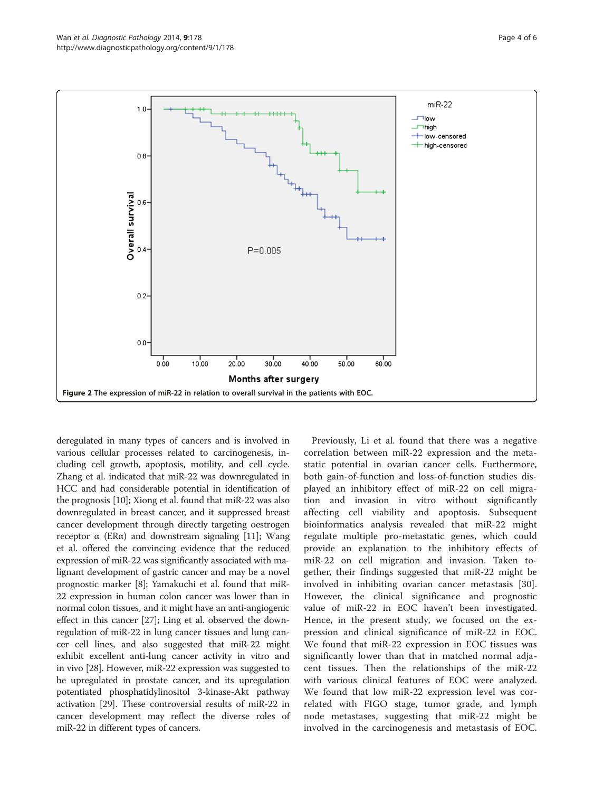<span id="page-3-0"></span>

deregulated in many types of cancers and is involved in various cellular processes related to carcinogenesis, including cell growth, apoptosis, motility, and cell cycle. Zhang et al. indicated that miR-22 was downregulated in HCC and had considerable potential in identification of the prognosis [\[10\]](#page-5-0); Xiong et al. found that miR-22 was also downregulated in breast cancer, and it suppressed breast cancer development through directly targeting oestrogen receptor α (ERα) and downstream signaling [\[11\]](#page-5-0); Wang et al. offered the convincing evidence that the reduced expression of miR-22 was significantly associated with malignant development of gastric cancer and may be a novel prognostic marker [\[8](#page-5-0)]; Yamakuchi et al. found that miR-22 expression in human colon cancer was lower than in normal colon tissues, and it might have an anti-angiogenic effect in this cancer [[27\]](#page-5-0); Ling et al. observed the downregulation of miR-22 in lung cancer tissues and lung cancer cell lines, and also suggested that miR-22 might exhibit excellent anti-lung cancer activity in vitro and in vivo [\[28\]](#page-5-0). However, miR-22 expression was suggested to be upregulated in prostate cancer, and its upregulation potentiated phosphatidylinositol 3-kinase-Akt pathway activation [[29\]](#page-5-0). These controversial results of miR-22 in cancer development may reflect the diverse roles of miR-22 in different types of cancers.

Previously, Li et al. found that there was a negative correlation between miR-22 expression and the metastatic potential in ovarian cancer cells. Furthermore, both gain-of-function and loss-of-function studies displayed an inhibitory effect of miR-22 on cell migration and invasion in vitro without significantly affecting cell viability and apoptosis. Subsequent bioinformatics analysis revealed that miR-22 might regulate multiple pro-metastatic genes, which could provide an explanation to the inhibitory effects of miR-22 on cell migration and invasion. Taken together, their findings suggested that miR-22 might be involved in inhibiting ovarian cancer metastasis [\[30](#page-5-0)]. However, the clinical significance and prognostic value of miR-22 in EOC haven't been investigated. Hence, in the present study, we focused on the expression and clinical significance of miR-22 in EOC. We found that miR-22 expression in EOC tissues was significantly lower than that in matched normal adjacent tissues. Then the relationships of the miR-22 with various clinical features of EOC were analyzed. We found that low miR-22 expression level was correlated with FIGO stage, tumor grade, and lymph node metastases, suggesting that miR-22 might be involved in the carcinogenesis and metastasis of EOC.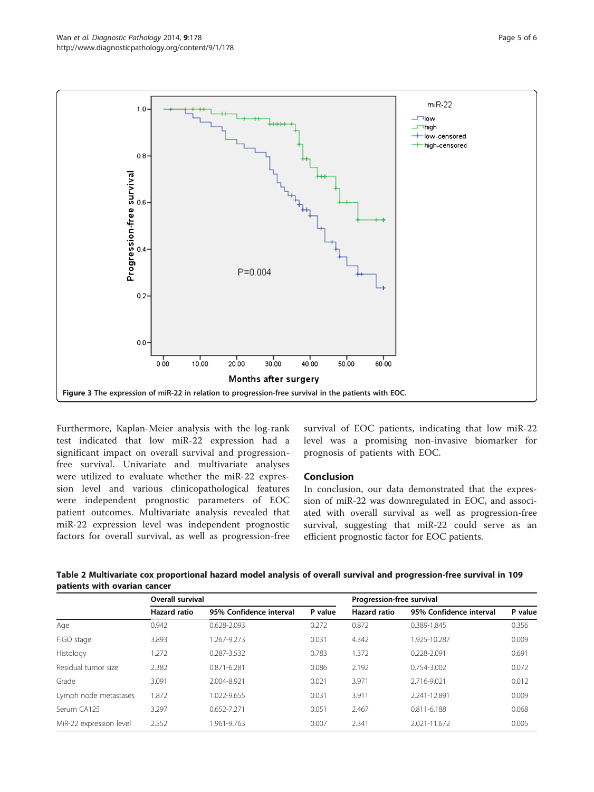<span id="page-4-0"></span>

Furthermore, Kaplan-Meier analysis with the log-rank test indicated that low miR-22 expression had a significant impact on overall survival and progressionfree survival. Univariate and multivariate analyses were utilized to evaluate whether the miR-22 expression level and various clinicopathological features were independent prognostic parameters of EOC patient outcomes. Multivariate analysis revealed that miR-22 expression level was independent prognostic factors for overall survival, as well as progression-free

survival of EOC patients, indicating that low miR-22 level was a promising non-invasive biomarker for prognosis of patients with EOC.

# Conclusion

In conclusion, our data demonstrated that the expression of miR-22 was downregulated in EOC, and associated with overall survival as well as progression-free survival, suggesting that miR-22 could serve as an efficient prognostic factor for EOC patients.

| Table 2 Multivariate cox proportional hazard model analysis of overall survival and progression-free survival in 109 |  |
|----------------------------------------------------------------------------------------------------------------------|--|
| patients with ovarian cancer                                                                                         |  |

|                         | Overall survival    |                         |         | Progression-free survival |                         |         |  |
|-------------------------|---------------------|-------------------------|---------|---------------------------|-------------------------|---------|--|
|                         | <b>Hazard ratio</b> | 95% Confidence interval | P value | <b>Hazard ratio</b>       | 95% Confidence interval | P value |  |
| Age                     | 0.942               | 0.628-2.093             | 0.272   | 0.872                     | 0.389-1.845             | 0.356   |  |
| FIGO stage              | 3.893               | 1.267-9.273             | 0.031   | 4.342                     | 1.925-10.287            | 0.009   |  |
| Histology               | 1.272               | 0.287-3.532             | 0.783   | 1.372                     | 0.228-2.091             | 0.691   |  |
| Residual tumor size     | 2.382               | 0.871-6.281             | 0.086   | 2.192                     | 0.754-3.002             | 0.072   |  |
| Grade                   | 3.091               | 2.004-8.921             | 0.021   | 3.971                     | 2.716-9.021             | 0.012   |  |
| Lymph node metastases   | 1.872               | 1.022-9.655             | 0.031   | 3.911                     | 2.241-12.891            | 0.009   |  |
| Serum CA125             | 3.297               | 0.652-7.271             | 0.051   | 2.467                     | 0.811-6.188             | 0.068   |  |
| MiR-22 expression level | 2.552               | 1.961-9.763             | 0.007   | 2.341                     | 2.021-11.672            | 0.005   |  |